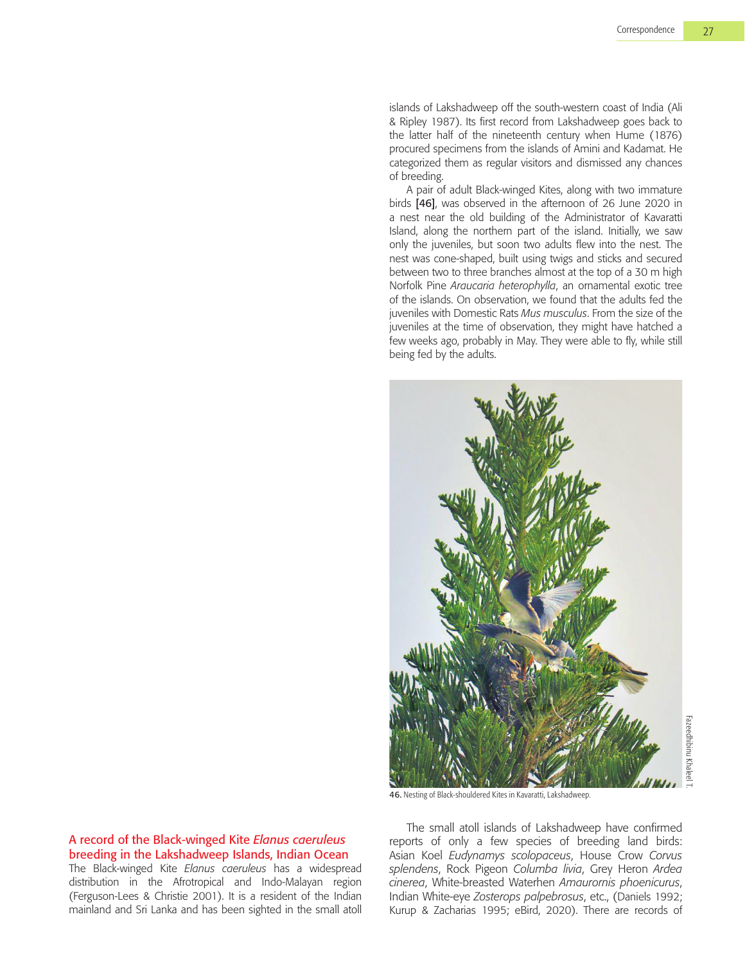islands of Lakshadweep off the south-western coast of India (Ali & Ripley 1987). Its first record from Lakshadweep goes back to the latter half of the nineteenth century when Hume (1876) procured specimens from the islands of Amini and Kadamat. He categorized them as regular visitors and dismissed any chances of breeding.

A pair of adult Black-winged Kites, along with two immature birds [46], was observed in the afternoon of 26 June 2020 in a nest near the old building of the Administrator of Kavaratti Island, along the northern part of the island. Initially, we saw only the juveniles, but soon two adults flew into the nest. The nest was cone-shaped, built using twigs and sticks and secured between two to three branches almost at the top of a 30 m high Norfolk Pine *Araucaria heterophylla*, an ornamental exotic tree of the islands. On observation, we found that the adults fed the juveniles with Domestic Rats *Mus musculus*. From the size of the juveniles at the time of observation, they might have hatched a few weeks ago, probably in May. They were able to fly, while still being fed by the adults.



46. Nesting of Black-shouldered Kites in Kavaratti, Lakshadweep.

## A record of the Black-winged Kite *Elanus caeruleus* breeding in the Lakshadweep Islands, Indian Ocean

The Black-winged Kite *Elanus caeruleus* has a widespread distribution in the Afrotropical and Indo-Malayan region (Ferguson-Lees & Christie 2001). It is a resident of the Indian mainland and Sri Lanka and has been sighted in the small atoll

The small atoll islands of Lakshadweep have confirmed reports of only a few species of breeding land birds: Asian Koel *Eudynamys scolopaceus*, House Crow *Corvus splendens*, Rock Pigeon *Columba livia*, Grey Heron *Ardea cinerea*, White-breasted Waterhen *Amaurornis phoenicurus*, Indian White-eye *Zosterops palpebrosus*, etc., (Daniels 1992; Kurup & Zacharias 1995; eBird, 2020). There are records of